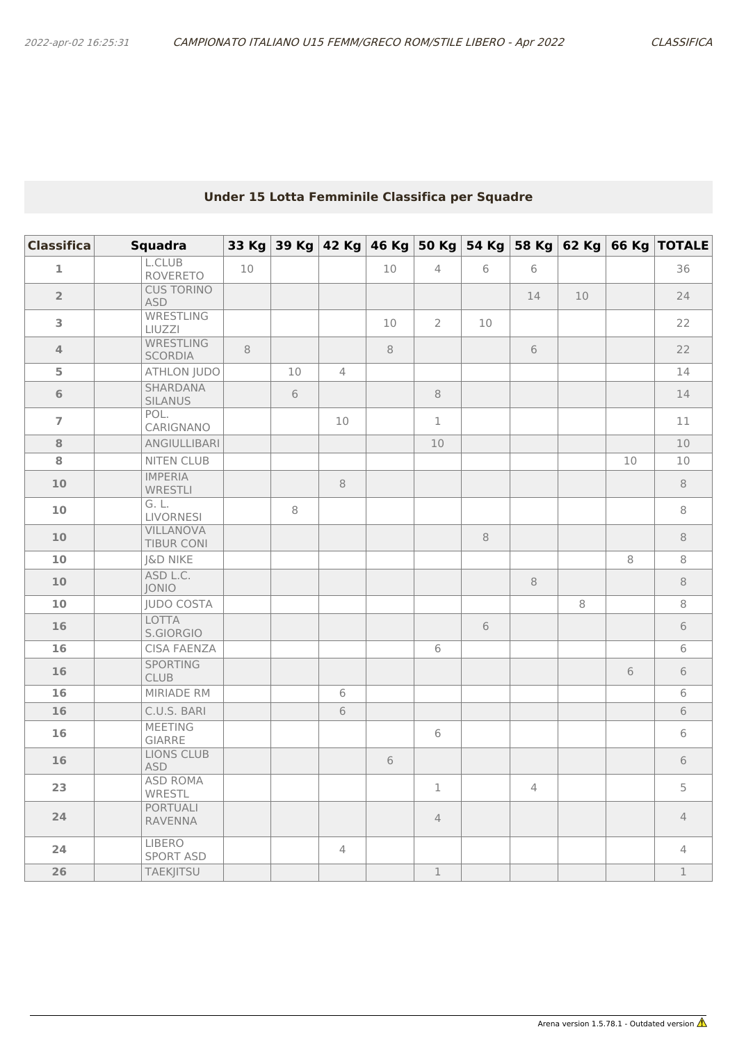## **Under 15 Lotta Femminile Classifica per Squadre**

| <b>Classifica</b> | <b>Squadra</b>                    |    |    |                |    |                |    |                |    |    | 33 Kg 39 Kg 42 Kg 46 Kg 50 Kg 54 Kg 58 Kg 62 Kg 66 Kg TOTALE |
|-------------------|-----------------------------------|----|----|----------------|----|----------------|----|----------------|----|----|--------------------------------------------------------------|
| $\mathbf{1}$      | L.CLUB<br><b>ROVERETO</b>         | 10 |    |                | 10 | $\overline{4}$ | 6  | $6\,$          |    |    | 36                                                           |
| $\overline{2}$    | <b>CUS TORINO</b><br><b>ASD</b>   |    |    |                |    |                |    | 14             | 10 |    | 24                                                           |
| 3                 | <b>WRESTLING</b><br>LIUZZI        |    |    |                | 10 | $\overline{2}$ | 10 |                |    |    | 22                                                           |
| $\overline{4}$    | <b>WRESTLING</b><br>SCORDIA       | 8  |    |                | 8  |                |    | 6              |    |    | 22                                                           |
| 5                 | <b>ATHLON JUDO</b>                |    | 10 | $\overline{4}$ |    |                |    |                |    |    | 14                                                           |
| 6                 | <b>SHARDANA</b><br>SILANUS        |    | 6  |                |    | 8              |    |                |    |    | 14                                                           |
| $\overline{7}$    | POL.<br>CARIGNANO                 |    |    | $10$           |    | $\mathbf{1}$   |    |                |    |    | 11                                                           |
| 8                 | ANGIULLIBARI                      |    |    |                |    | 10             |    |                |    |    | 10                                                           |
| 8                 | <b>NITEN CLUB</b>                 |    |    |                |    |                |    |                |    | 10 | 10                                                           |
| 10 <sub>1</sub>   | <b>IMPERIA</b><br>WRESTLI         |    |    | 8              |    |                |    |                |    |    | 8                                                            |
| 10                | G. L.<br><b>LIVORNESI</b>         |    | 8  |                |    |                |    |                |    |    | 8                                                            |
| 10                | <b>VILLANOVA</b><br>TIBUR CONI    |    |    |                |    |                | 8  |                |    |    | 8                                                            |
| 10                | J&D NIKE                          |    |    |                |    |                |    |                |    | 8  | 8                                                            |
| 10 <sup>°</sup>   | ASD L.C.<br><b>JONIO</b>          |    |    |                |    |                |    | 8              |    |    | 8                                                            |
| 10                | <b>JUDO COSTA</b>                 |    |    |                |    |                |    |                | 8  |    | 8                                                            |
| 16                | <b>LOTTA</b><br>S.GIORGIO         |    |    |                |    |                | 6  |                |    |    | 6                                                            |
| 16                | <b>CISA FAENZA</b>                |    |    |                |    | 6              |    |                |    |    | 6                                                            |
| 16                | <b>SPORTING</b><br>CLUB           |    |    |                |    |                |    |                |    | 6  | 6                                                            |
| 16                | MIRIADE RM                        |    |    | 6              |    |                |    |                |    |    | 6                                                            |
| 16                | C.U.S. BARI                       |    |    | 6              |    |                |    |                |    |    | $6\,$                                                        |
| 16                | <b>MEETING</b><br><b>GIARRE</b>   |    |    |                |    | 6              |    |                |    |    | 6                                                            |
| 16                | <b>LIONS CLUB</b><br><b>ASD</b>   |    |    |                | 6  |                |    |                |    |    | $6\,$                                                        |
| 23                | <b>ASD ROMA</b><br>WRESTL         |    |    |                |    | $\mathbf 1$    |    | $\overline{4}$ |    |    | 5                                                            |
| 24                | <b>PORTUALI</b><br><b>RAVENNA</b> |    |    |                |    | $\overline{4}$ |    |                |    |    | $\overline{4}$                                               |
| 24                | <b>LIBERO</b><br><b>SPORT ASD</b> |    |    | $\overline{4}$ |    |                |    |                |    |    | $\overline{4}$                                               |
| 26                | <b>TAEKJITSU</b>                  |    |    |                |    | $\mathbf 1$    |    |                |    |    | $\mathbf 1$                                                  |